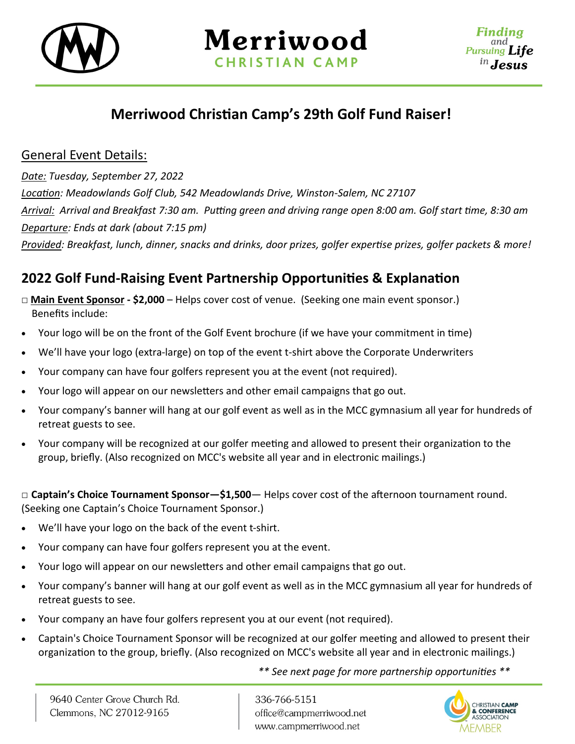



## **Merriwood Christian Camp's 29th Golf Fund Raiser!**

## General Event Details:

*Date: Tuesday, September 27, 2022*

*Location: Meadowlands Golf Club, 542 Meadowlands Drive, Winston-Salem, NC 27107 Arrival: Arrival and Breakfast 7:30 am. Putting green and driving range open 8:00 am. Golf start time, 8:30 am Departure: Ends at dark (about 7:15 pm)*

*Provided: Breakfast, lunch, dinner, snacks and drinks, door prizes, golfer expertise prizes, golfer packets & more!*

## **2022 Golf Fund-Raising Event Partnership Opportunities & Explanation**

- **□ Main Event Sponsor - \$2,000** Helps cover cost of venue. (Seeking one main event sponsor.) Benefits include:
- Your logo will be on the front of the Golf Event brochure (if we have your commitment in time)
- We'll have your logo (extra-large) on top of the event t-shirt above the Corporate Underwriters
- Your company can have four golfers represent you at the event (not required).
- Your logo will appear on our newsletters and other email campaigns that go out.
- Your company's banner will hang at our golf event as well as in the MCC gymnasium all year for hundreds of retreat guests to see.
- Your company will be recognized at our golfer meeting and allowed to present their organization to the group, briefly. (Also recognized on MCC's website all year and in electronic mailings.)

**□ Captain's Choice Tournament Sponsor—\$1,500**— Helps cover cost of the afternoon tournament round. (Seeking one Captain's Choice Tournament Sponsor.)

- We'll have your logo on the back of the event t-shirt.
- Your company can have four golfers represent you at the event.
- Your logo will appear on our newsletters and other email campaigns that go out.
- Your company's banner will hang at our golf event as well as in the MCC gymnasium all year for hundreds of retreat guests to see.
- Your company an have four golfers represent you at our event (not required).
- Captain's Choice Tournament Sponsor will be recognized at our golfer meeting and allowed to present their organization to the group, briefly. (Also recognized on MCC's website all year and in electronic mailings.)

*\*\* See next page for more partnership opportunities \*\**

336-766-5151 office@campmerriwood.net www.campmerriwood.net